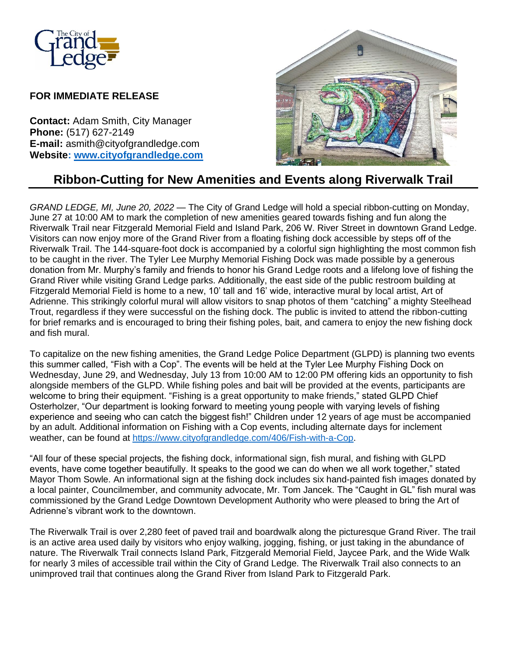

## **FOR IMMEDIATE RELEASE**

**Contact:** Adam Smith, City Manager **Phone:** (517) 627-2149 **E-mail:** asmith@cityofgrandledge.com **Website: [www.cityofgrandledge.com](http://www.cityofgrandledge.com/)**



## **Ribbon-Cutting for New Amenities and Events along Riverwalk Trail**

*GRAND LEDGE, MI, June 20, 2022* — The City of Grand Ledge will hold a special ribbon-cutting on Monday, June 27 at 10:00 AM to mark the completion of new amenities geared towards fishing and fun along the Riverwalk Trail near Fitzgerald Memorial Field and Island Park, 206 W. River Street in downtown Grand Ledge. Visitors can now enjoy more of the Grand River from a floating fishing dock accessible by steps off of the Riverwalk Trail. The 144-square-foot dock is accompanied by a colorful sign highlighting the most common fish to be caught in the river. The Tyler Lee Murphy Memorial Fishing Dock was made possible by a generous donation from Mr. Murphy's family and friends to honor his Grand Ledge roots and a lifelong love of fishing the Grand River while visiting Grand Ledge parks. Additionally, the east side of the public restroom building at Fitzgerald Memorial Field is home to a new, 10' tall and 16' wide, interactive mural by local artist, Art of Adrienne. This strikingly colorful mural will allow visitors to snap photos of them "catching" a mighty Steelhead Trout, regardless if they were successful on the fishing dock. The public is invited to attend the ribbon-cutting for brief remarks and is encouraged to bring their fishing poles, bait, and camera to enjoy the new fishing dock and fish mural.

To capitalize on the new fishing amenities, the Grand Ledge Police Department (GLPD) is planning two events this summer called, "Fish with a Cop". The events will be held at the Tyler Lee Murphy Fishing Dock on Wednesday, June 29, and Wednesday, July 13 from 10:00 AM to 12:00 PM offering kids an opportunity to fish alongside members of the GLPD. While fishing poles and bait will be provided at the events, participants are welcome to bring their equipment. "Fishing is a great opportunity to make friends," stated GLPD Chief Osterholzer, "Our department is looking forward to meeting young people with varying levels of fishing experience and seeing who can catch the biggest fish!" Children under 12 years of age must be accompanied by an adult. Additional information on Fishing with a Cop events, including alternate days for inclement weather, can be found at [https://www.cityofgrandledge.com/406/Fish-with-a-Cop.](https://www.cityofgrandledge.com/406/Fish-with-a-Cop)

"All four of these special projects, the fishing dock, informational sign, fish mural, and fishing with GLPD events, have come together beautifully. It speaks to the good we can do when we all work together," stated Mayor Thom Sowle. An informational sign at the fishing dock includes six hand-painted fish images donated by a local painter, Councilmember, and community advocate, Mr. Tom Jancek. The "Caught in GL" fish mural was commissioned by the Grand Ledge Downtown Development Authority who were pleased to bring the Art of Adrienne's vibrant work to the downtown.

The Riverwalk Trail is over 2,280 feet of paved trail and boardwalk along the picturesque Grand River. The trail is an active area used daily by visitors who enjoy walking, jogging, fishing, or just taking in the abundance of nature. The Riverwalk Trail connects Island Park, Fitzgerald Memorial Field, Jaycee Park, and the Wide Walk for nearly 3 miles of accessible trail within the City of Grand Ledge. The Riverwalk Trail also connects to an unimproved trail that continues along the Grand River from Island Park to Fitzgerald Park.